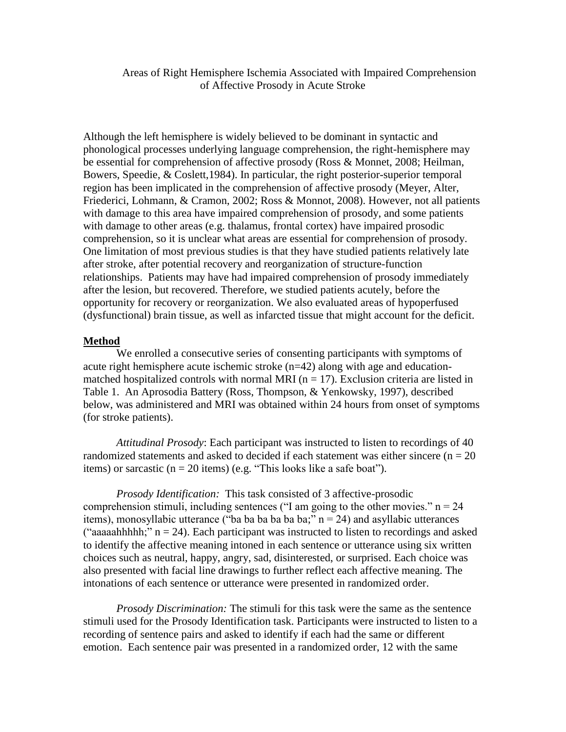Areas of Right Hemisphere Ischemia Associated with Impaired Comprehension of Affective Prosody in Acute Stroke

Although the left hemisphere is widely believed to be dominant in syntactic and phonological processes underlying language comprehension, the right-hemisphere may be essential for comprehension of affective prosody (Ross & Monnet, 2008; Heilman, Bowers, Speedie, & Coslett,1984). In particular, the right posterior-superior temporal region has been implicated in the comprehension of affective prosody (Meyer, Alter, Friederici, Lohmann, & Cramon, 2002; Ross & Monnot, 2008). However, not all patients with damage to this area have impaired comprehension of prosody, and some patients with damage to other areas (e.g. thalamus, frontal cortex) have impaired prosodic comprehension, so it is unclear what areas are essential for comprehension of prosody. One limitation of most previous studies is that they have studied patients relatively late after stroke, after potential recovery and reorganization of structure-function relationships. Patients may have had impaired comprehension of prosody immediately after the lesion, but recovered. Therefore, we studied patients acutely, before the opportunity for recovery or reorganization. We also evaluated areas of hypoperfused (dysfunctional) brain tissue, as well as infarcted tissue that might account for the deficit.

## **Method**

We enrolled a consecutive series of consenting participants with symptoms of acute right hemisphere acute ischemic stroke (n=42) along with age and educationmatched hospitalized controls with normal MRI ( $n = 17$ ). Exclusion criteria are listed in Table 1. An Aprosodia Battery (Ross, Thompson, & Yenkowsky, 1997), described below, was administered and MRI was obtained within 24 hours from onset of symptoms (for stroke patients).

*Attitudinal Prosody*: Each participant was instructed to listen to recordings of 40 randomized statements and asked to decided if each statement was either sincere ( $n = 20$ ) items) or sarcastic ( $n = 20$  items) (e.g. "This looks like a safe boat").

*Prosody Identification:* This task consisted of 3 affective-prosodic comprehension stimuli, including sentences ("I am going to the other movies."  $n = 24$ items), monosyllabic utterance ("ba ba ba ba ba ba;"  $n = 24$ ) and asyllabic utterances ("aaaaahhhhh;"  $n = 24$ ). Each participant was instructed to listen to recordings and asked to identify the affective meaning intoned in each sentence or utterance using six written choices such as neutral, happy, angry, sad, disinterested, or surprised. Each choice was also presented with facial line drawings to further reflect each affective meaning. The intonations of each sentence or utterance were presented in randomized order.

*Prosody Discrimination:* The stimuli for this task were the same as the sentence stimuli used for the Prosody Identification task. Participants were instructed to listen to a recording of sentence pairs and asked to identify if each had the same or different emotion. Each sentence pair was presented in a randomized order, 12 with the same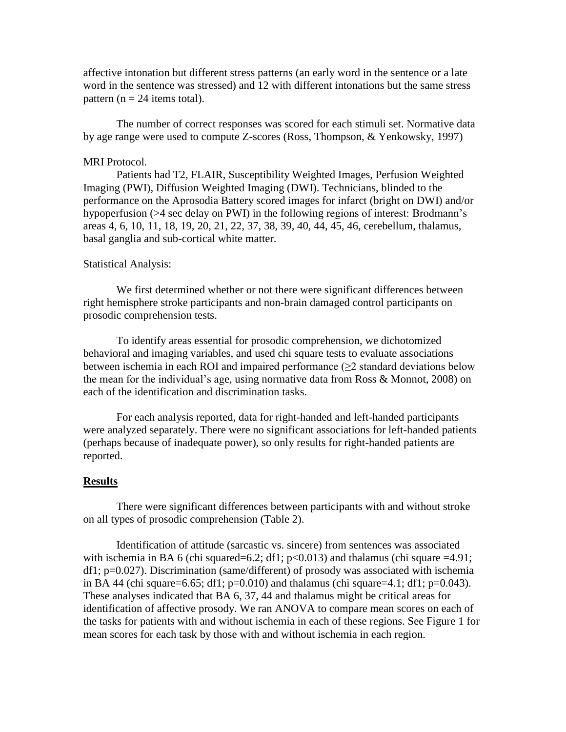affective intonation but different stress patterns (an early word in the sentence or a late word in the sentence was stressed) and 12 with different intonations but the same stress pattern ( $n = 24$  items total).

The number of correct responses was scored for each stimuli set. Normative data by age range were used to compute Z-scores (Ross, Thompson, & Yenkowsky, 1997)

# MRI Protocol.

Patients had T2, FLAIR, Susceptibility Weighted Images, Perfusion Weighted Imaging (PWI), Diffusion Weighted Imaging (DWI). Technicians, blinded to the performance on the Aprosodia Battery scored images for infarct (bright on DWI) and/or hypoperfusion (>4 sec delay on PWI) in the following regions of interest: Brodmann's areas 4, 6, 10, 11, 18, 19, 20, 21, 22, 37, 38, 39, 40, 44, 45, 46, cerebellum, thalamus, basal ganglia and sub-cortical white matter.

## Statistical Analysis:

We first determined whether or not there were significant differences between right hemisphere stroke participants and non-brain damaged control participants on prosodic comprehension tests.

To identify areas essential for prosodic comprehension, we dichotomized behavioral and imaging variables, and used chi square tests to evaluate associations between ischemia in each ROI and impaired performance  $(\geq 2$  standard deviations below the mean for the individual's age, using normative data from Ross & Monnot, 2008) on each of the identification and discrimination tasks.

For each analysis reported, data for right-handed and left-handed participants were analyzed separately. There were no significant associations for left-handed patients (perhaps because of inadequate power), so only results for right-handed patients are reported.

#### **Results**

There were significant differences between participants with and without stroke on all types of prosodic comprehension (Table 2).

Identification of attitude (sarcastic vs. sincere) from sentences was associated with ischemia in BA 6 (chi squared=6.2; df1;  $p<0.013$ ) and thalamus (chi square =4.91; df1; p=0.027). Discrimination (same/different) of prosody was associated with ischemia in BA 44 (chi square=6.65; df1;  $p=0.010$ ) and thalamus (chi square=4.1; df1;  $p=0.043$ ). These analyses indicated that BA 6, 37, 44 and thalamus might be critical areas for identification of affective prosody. We ran ANOVA to compare mean scores on each of the tasks for patients with and without ischemia in each of these regions. See Figure 1 for mean scores for each task by those with and without ischemia in each region.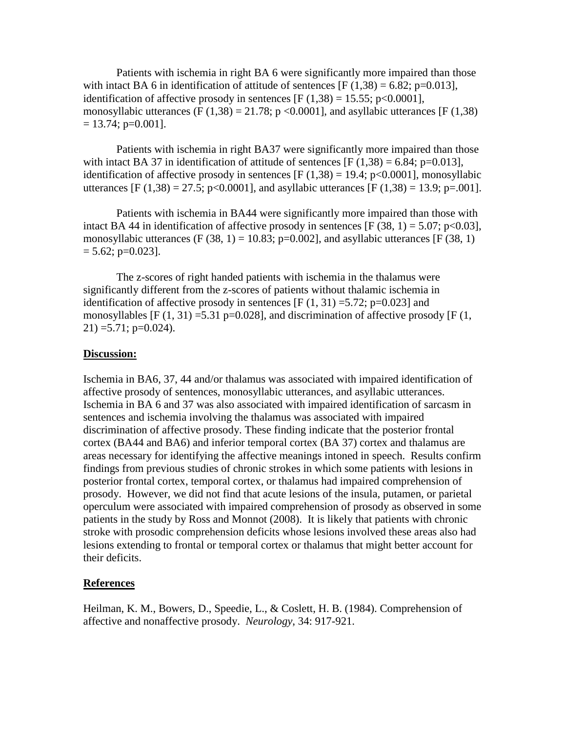Patients with ischemia in right BA 6 were significantly more impaired than those with intact BA 6 in identification of attitude of sentences  $[F(1,38) = 6.82; p=0.013]$ , identification of affective prosody in sentences  $[F(1,38) = 15.55; p < 0.0001]$ , monosyllabic utterances (F (1,38) = 21.78; p <0.0001], and asyllabic utterances [F (1,38)  $= 13.74$ ; p=0.001].

Patients with ischemia in right BA37 were significantly more impaired than those with intact BA 37 in identification of attitude of sentences  $[F(1,38) = 6.84; p=0.013]$ , identification of affective prosody in sentences  $[F(1,38) = 19.4; p<0.0001]$ , monosyllabic utterances [F (1,38) = 27.5; p<0.0001], and asyllabic utterances [F (1,38) = 13.9; p=.001].

Patients with ischemia in BA44 were significantly more impaired than those with intact BA 44 in identification of affective prosody in sentences [F (38, 1) = 5.07; p<0.03], monosyllabic utterances (F (38, 1) = 10.83; p=0.002], and asyllabic utterances [F (38, 1)  $= 5.62$ ; p=0.023].

The z-scores of right handed patients with ischemia in the thalamus were significantly different from the z-scores of patients without thalamic ischemia in identification of affective prosody in sentences  $[F(1, 31) = 5.72; p=0.023]$  and monosyllables [F  $(1, 31)$  =5.31 p=0.028], and discrimination of affective prosody [F  $(1, 1)$ ]  $21) = 5.71$ ; p=0.024).

## **Discussion:**

Ischemia in BA6, 37, 44 and/or thalamus was associated with impaired identification of affective prosody of sentences, monosyllabic utterances, and asyllabic utterances. Ischemia in BA 6 and 37 was also associated with impaired identification of sarcasm in sentences and ischemia involving the thalamus was associated with impaired discrimination of affective prosody. These finding indicate that the posterior frontal cortex (BA44 and BA6) and inferior temporal cortex (BA 37) cortex and thalamus are areas necessary for identifying the affective meanings intoned in speech. Results confirm findings from previous studies of chronic strokes in which some patients with lesions in posterior frontal cortex, temporal cortex, or thalamus had impaired comprehension of prosody. However, we did not find that acute lesions of the insula, putamen, or parietal operculum were associated with impaired comprehension of prosody as observed in some patients in the study by Ross and Monnot (2008). It is likely that patients with chronic stroke with prosodic comprehension deficits whose lesions involved these areas also had lesions extending to frontal or temporal cortex or thalamus that might better account for their deficits.

# **References**

Heilman, K. M., Bowers, D., Speedie, L., & Coslett, H. B. (1984). Comprehension of affective and nonaffective prosody. *Neurology*, 34: 917-921.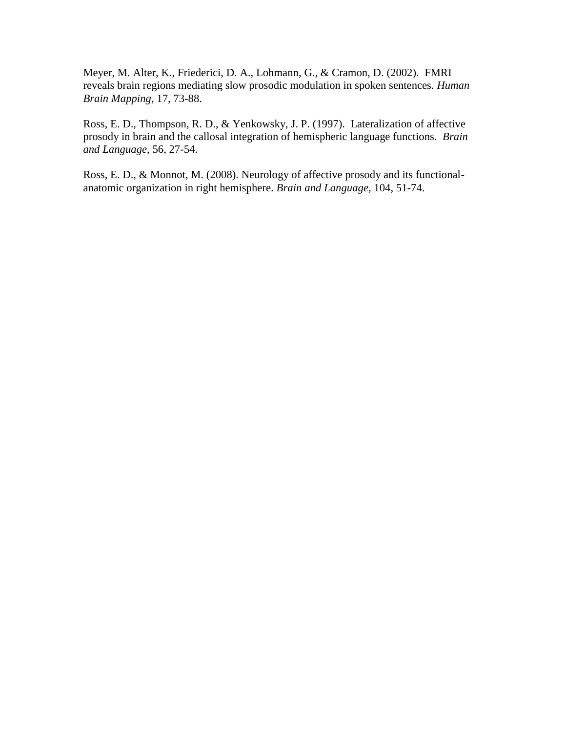Meyer, M. Alter, K., Friederici, D. A., Lohmann, G., & Cramon, D. (2002). FMRI reveals brain regions mediating slow prosodic modulation in spoken sentences. *Human Brain Mapping*, 17, 73-88.

Ross, E. D., Thompson, R. D., & Yenkowsky, J. P. (1997). Lateralization of affective prosody in brain and the callosal integration of hemispheric language functions*. Brain and Language*, 56, 27-54.

Ross, E. D., & Monnot, M. (2008). Neurology of affective prosody and its functionalanatomic organization in right hemisphere. *Brain and Language,* 104, 51-74.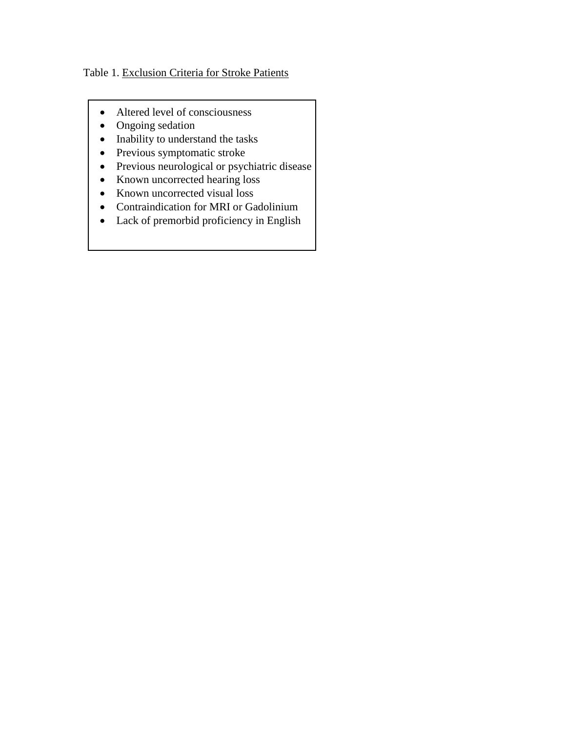# Table 1. Exclusion Criteria for Stroke Patients

- Altered level of consciousness
- Ongoing sedation
- Inability to understand the tasks
- Previous symptomatic stroke
- Previous neurological or psychiatric disease
- Known uncorrected hearing loss
- Known uncorrected visual loss
- Contraindication for MRI or Gadolinium
- Lack of premorbid proficiency in English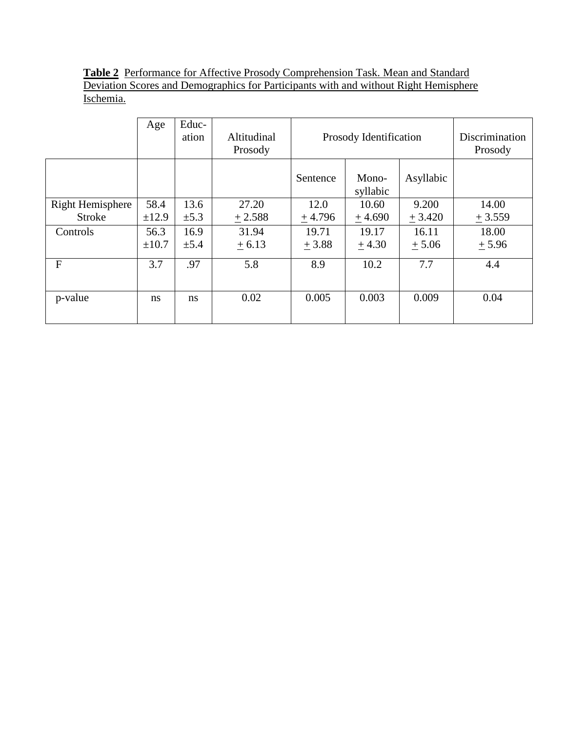**Table 2** Performance for Affective Prosody Comprehension Task. Mean and Standard Deviation Scores and Demographics for Participants with and without Right Hemisphere Ischemia.

|                  | Age        | Educ-<br>ation | Altitudinal<br>Prosody | Prosody Identification |                   |           | Discrimination<br>Prosody |
|------------------|------------|----------------|------------------------|------------------------|-------------------|-----------|---------------------------|
|                  |            |                |                        | Sentence               | Mono-<br>syllabic | Asyllabic |                           |
| Right Hemisphere | 58.4       | 13.6           | 27.20                  | 12.0                   | 10.60             | 9.200     | 14.00                     |
| <b>Stroke</b>    | ±12.9      | $\pm 5.3$      | $+2.588$               | $+4.796$               | $+4.690$          | $+3.420$  | $+3.559$                  |
| Controls         | 56.3       | 16.9           | 31.94                  | 19.71                  | 19.17             | 16.11     | 18.00                     |
|                  | $\pm 10.7$ | $\pm$ 5.4      | $+6.13$                | $+3.88$                | $+4.30$           | $+5.06$   | $+5.96$                   |
| F                | 3.7        | .97            | 5.8                    | 8.9                    | 10.2              | 7.7       | 4.4                       |
|                  |            |                |                        |                        |                   |           |                           |
| p-value          | ns         | <sub>ns</sub>  | 0.02                   | 0.005                  | 0.003             | 0.009     | 0.04                      |
|                  |            |                |                        |                        |                   |           |                           |